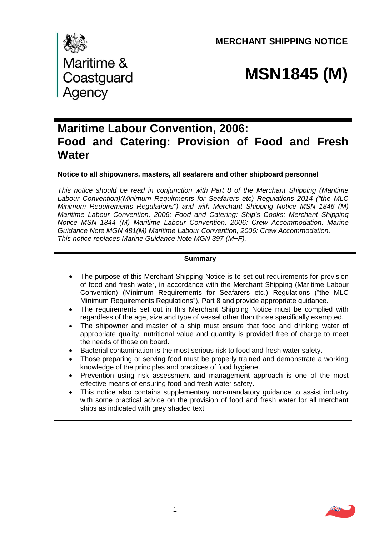**MERCHANT SHIPPING NOTICE** 



# **MSN1845 (M)**

# **Maritime Labour Convention, 2006: Food and Catering: Provision of Food and Fresh Water**

**Notice to all shipowners, masters, all seafarers and other shipboard personnel**

*This notice should be read in conjunction with Part 8 of the Merchant Shipping (Maritime Labour Convention)(Minimum Requirments for Seafarers etc) Regulations 2014 ("the MLC Minimum Requirements Regulations") and with Merchant Shipping Notice MSN 1846 (M) Maritime Labour Convention, 2006: Food and Catering: Ship's Cooks; Merchant Shipping Notice MSN 1844 (M) Maritime Labour Convention, 2006: Crew Accommodation: Marine Guidance Note MGN 481(M) Maritime Labour Convention, 2006: Crew Accommodation. This notice replaces Marine Guidance Note MGN 397 (M+F).* 

# **Summary**

- The purpose of this Merchant Shipping Notice is to set out requirements for provision of food and fresh water, in accordance with the Merchant Shipping (Maritime Labour Convention) (Minimum Requirements for Seafarers etc.) Regulations ("the MLC Minimum Requirements Regulations"), Part 8 and provide appropriate guidance.
- The requirements set out in this Merchant Shipping Notice must be complied with regardless of the age, size and type of vessel other than those specifically exempted.
- The shipowner and master of a ship must ensure that food and drinking water of appropriate quality, nutritional value and quantity is provided free of charge to meet the needs of those on board.
- Bacterial contamination is the most serious risk to food and fresh water safety.
- Those preparing or serving food must be properly trained and demonstrate a working knowledge of the principles and practices of food hygiene.
- Prevention using risk assessment and management approach is one of the most effective means of ensuring food and fresh water safety.
- This notice also contains supplementary non-mandatory guidance to assist industry with some practical advice on the provision of food and fresh water for all merchant ships as indicated with grey shaded text.

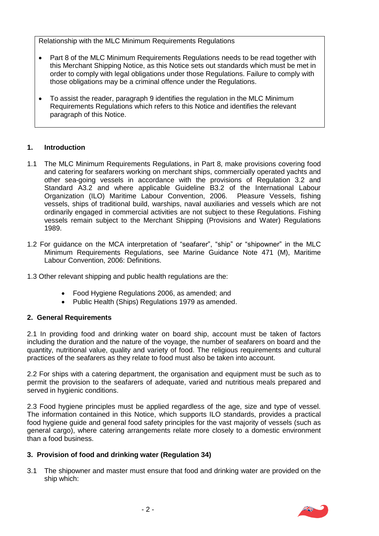Relationship with the MLC Minimum Requirements Regulations

- Part 8 of the MLC Minimum Requirements Regulations needs to be read together with this Merchant Shipping Notice, as this Notice sets out standards which must be met in order to comply with legal obligations under those Regulations. Failure to comply with those obligations may be a criminal offence under the Regulations.
- To assist the reader, paragraph 9 identifies the regulation in the MLC Minimum Requirements Regulations which refers to this Notice and identifies the relevant paragraph of this Notice.

# **1. Introduction**

- 1.1The MLC Minimum Requirements Regulations, in Part 8, make provisions covering food and catering for seafarers working on merchant ships, commercially operated yachts and other sea-going vessels in accordance with the provisions of Regulation 3.2 and Standard A3.2 and where applicable Guideline B3.2 of the International Labour Organization (ILO) Maritime Labour Convention, 2006. Pleasure Vessels, fishing vessels, ships of traditional build, warships, naval auxiliaries and vessels which are not ordinarily engaged in commercial activities are not subject to these Regulations. Fishing vessels remain subject to the Merchant Shipping (Provisions and Water) Regulations 1989.
- 1.2 For guidance on the MCA interpretation of "seafarer", "ship" or "shipowner" in the MLC Minimum Requirements Regulations, see Marine Guidance Note 471 (M), Maritime Labour Convention, 2006: Definitions.
- 1.3 Other relevant shipping and public health regulations are the:
	- Food Hygiene Regulations 2006, as amended; and
	- Public Health (Ships) Regulations 1979 as amended.

# **2. General Requirements**

2.1 In providing food and drinking water on board ship, account must be taken of factors including the duration and the nature of the voyage, the number of seafarers on board and the quantity, nutritional value, quality and variety of food. The religious requirements and cultural practices of the seafarers as they relate to food must also be taken into account.

2.2 For ships with a catering department, the organisation and equipment must be such as to permit the provision to the seafarers of adequate, varied and nutritious meals prepared and served in hygienic conditions.

2.3 Food hygiene principles must be applied regardless of the age, size and type of vessel. The information contained in this Notice, which supports ILO standards, provides a practical food hygiene guide and general food safety principles for the vast majority of vessels (such as general cargo), where catering arrangements relate more closely to a domestic environment than a food business.

# **3. Provision of food and drinking water (Regulation 34)**

3.1 The shipowner and master must ensure that food and drinking water are provided on the ship which:

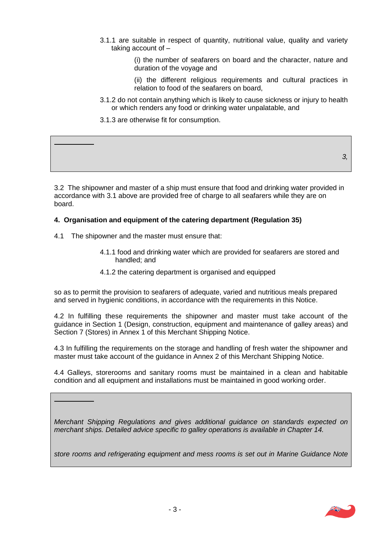- 3.1.1 are suitable in respect of quantity, nutritional value, quality and variety taking account of –
	- (i) the number of seafarers on board and the character, nature and duration of the voyage and
	- (ii) the different religious requirements and cultural practices in relation to food of the seafarers on board,
- 3.1.2 do not contain anything which is likely to cause sickness or injury to health or which renders any food or drinking water unpalatable, and
- 3.1.3 are otherwise fit for consumption.

3.2 The shipowner and master of a ship must ensure that food and drinking water provided in accordance with 3.1 above are provided free of charge to all seafarers while they are on board.

# **4. Organisation and equipment of the catering department (Regulation 35)**

4.1 The shipowner and the master must ensure that:

*GUIDANCE:*

*GUIDANCE:* 

- 4.1.1 food and drinking water which are provided for seafarers are stored and handled; and
- 4.1.2 the catering department is organised and equipped

so as to permit the provision to seafarers of adequate, varied and nutritious meals prepared and served in hygienic conditions, in accordance with the requirements in this Notice.

4.2 In fulfilling these requirements the shipowner and master must take account of the guidance in Section 1 (Design, construction, equipment and maintenance of galley areas) and Section 7 (Stores) in Annex 1 of this Merchant Shipping Notice.

4.3 In fulfilling the requirements on the storage and handling of fresh water the shipowner and master must take account of the guidance in Annex 2 of this Merchant Shipping Notice.

4.4 Galleys, storerooms and sanitary rooms must be maintained in a clean and habitable condition and all equipment and installations must be maintained in good working order.

*Merchant Shipping Regulations and gives additional guidance on standards expected on merchant ships. Detailed advice specific to galley operations is available in Chapter 14.* 

store rooms and refrigerating equipment and mess rooms is set out in Marine Guidance Note



*3,*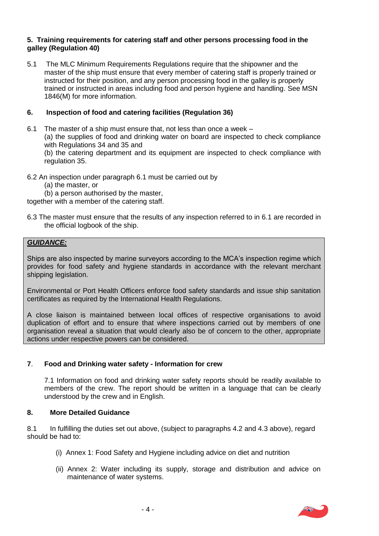# **5. Training requirements for catering staff and other persons processing food in the galley (Regulation 40)**

5.1 The MLC Minimum Requirements Regulations require that the shipowner and the master of the ship must ensure that every member of catering staff is properly trained or instructed for their position, and any person processing food in the galley is properly trained or instructed in areas including food and person hygiene and handling. See MSN 1846(M) for more information.

# **6. Inspection of food and catering facilities (Regulation 36)**

6.1 The master of a ship must ensure that, not less than once a week – (a) the supplies of food and drinking water on board are inspected to check compliance with Regulations 34 and 35 and

 (b) the catering department and its equipment are inspected to check compliance with regulation 35.

- 6.2 An inspection under paragraph 6.1 must be carried out by
	- (a) the master, or
	- (b) a person authorised by the master,

together with a member of the catering staff.

6.3 The master must ensure that the results of any inspection referred to in 6.1 are recorded in the official logbook of the ship.

# *GUIDANCE:*

Ships are also inspected by marine surveyors according to the MCA's inspection regime which provides for food safety and hygiene standards in accordance with the relevant merchant shipping legislation.

Environmental or Port Health Officers enforce food safety standards and issue ship sanitation certificates as required by the International Health Regulations.

A close liaison is maintained between local offices of respective organisations to avoid duplication of effort and to ensure that where inspections carried out by members of one organisation reveal a situation that would clearly also be of concern to the other, appropriate actions under respective powers can be considered.

# **7**. **Food and Drinking water safety - Information for crew**

7.1 Information on food and drinking water safety reports should be readily available to members of the crew. The report should be written in a language that can be clearly understood by the crew and in English.

# **8. More Detailed Guidance**

8.1 In fulfilling the duties set out above, (subject to paragraphs 4.2 and 4.3 above), regard should be had to:

- (i) Annex 1: Food Safety and Hygiene including advice on diet and nutrition
- (ii) Annex 2: Water including its supply, storage and distribution and advice on maintenance of water systems.

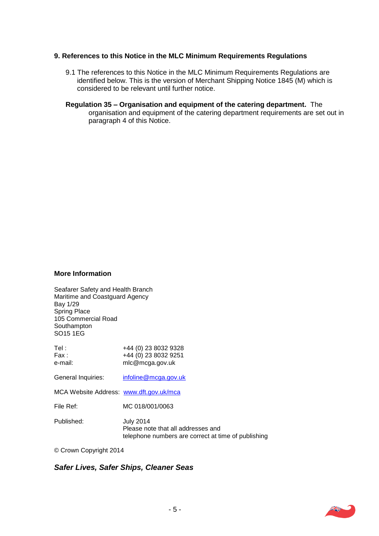#### **9. References to this Notice in the MLC Minimum Requirements Regulations**

- 9.1 The references to this Notice in the MLC Minimum Requirements Regulations are identified below. This is the version of Merchant Shipping Notice 1845 (M) which is considered to be relevant until further notice.
- **Regulation 35 Organisation and equipment of the catering department.** The organisation and equipment of the catering department requirements are set out in paragraph 4 of this Notice.

#### **More Information**

Seafarer Safety and Health Branch Maritime and Coastguard Agency Bay 1/29 Spring Place, 105 Commercial Road, **Southampton** SO15 1EG.

| Tel :<br>Fax :<br>e-mail:               | +44 (0) 23 8032 9328<br>+44 (0) 23 8032 9251<br>mlc@mcga.gov.uk                                               |
|-----------------------------------------|---------------------------------------------------------------------------------------------------------------|
| General Inquiries:                      | infoline@mcga.gov.uk                                                                                          |
| MCA Website Address: www.dft.gov.uk/mca |                                                                                                               |
| File Ref:                               | MC 018/001/0063                                                                                               |
| Published:                              | <b>July 2014</b><br>Please note that all addresses and<br>telephone numbers are correct at time of publishing |

© Crown Copyright 2014

*Safer Lives, Safer Ships, Cleaner Seas.* 

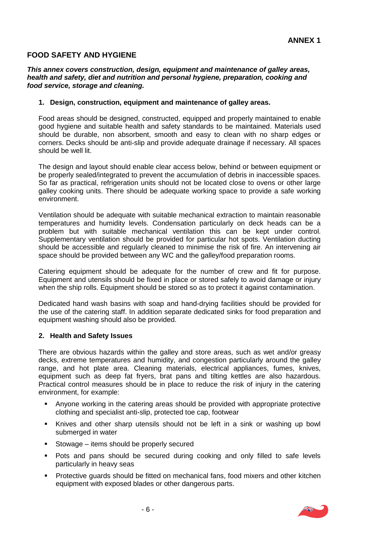# **FOOD SAFETY AND HYGIENE**

#### *This annex covers construction, design, equipment and maintenance of galley areas, health and safety, diet and nutrition and personal hygiene, preparation, cooking and food service, storage and cleaning.*

#### **1. Design, construction, equipment and maintenance of galley areas.**

Food areas should be designed, constructed, equipped and properly maintained to enable good hygiene and suitable health and safety standards to be maintained. Materials used should be durable, non absorbent, smooth and easy to clean with no sharp edges or corners. Decks should be anti-slip and provide adequate drainage if necessary. All spaces should be well lit.

The design and layout should enable clear access below, behind or between equipment or be properly sealed/integrated to prevent the accumulation of debris in inaccessible spaces. So far as practical, refrigeration units should not be located close to ovens or other large galley cooking units. There should be adequate working space to provide a safe working environment.

Ventilation should be adequate with suitable mechanical extraction to maintain reasonable temperatures and humidity levels. Condensation particularly on deck heads can be a problem but with suitable mechanical ventilation this can be kept under control. Supplementary ventilation should be provided for particular hot spots. Ventilation ducting should be accessible and regularly cleaned to minimise the risk of fire. An intervening air space should be provided between any WC and the galley/food preparation rooms.

Catering equipment should be adequate for the number of crew and fit for purpose. Equipment and utensils should be fixed in place or stored safely to avoid damage or injury when the ship rolls. Equipment should be stored so as to protect it against contamination.

Dedicated hand wash basins with soap and hand-drying facilities should be provided for the use of the catering staff. In addition separate dedicated sinks for food preparation and equipment washing should also be provided.

# **2. Health and Safety Issues**

There are obvious hazards within the galley and store areas, such as wet and/or greasy decks, extreme temperatures and humidity, and congestion particularly around the galley range, and hot plate area. Cleaning materials, electrical appliances, fumes, knives, equipment such as deep fat fryers, brat pans and tilting kettles are also hazardous. Practical control measures should be in place to reduce the risk of injury in the catering environment, for example:

- Anyone working in the catering areas should be provided with appropriate protective clothing and specialist anti-slip, protected toe cap, footwear
- Knives and other sharp utensils should not be left in a sink or washing up bowl submerged in water
- Stowage items should be properly secured
- Pots and pans should be secured during cooking and only filled to safe levels particularly in heavy seas
- Protective guards should be fitted on mechanical fans, food mixers and other kitchen equipment with exposed blades or other dangerous parts.

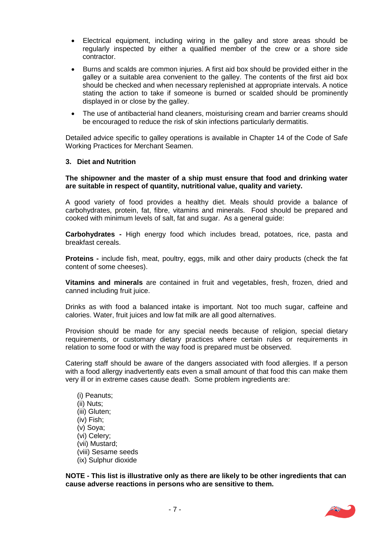- Electrical equipment, including wiring in the galley and store areas should be regularly inspected by either a qualified member of the crew or a shore side contractor.
- Burns and scalds are common injuries. A first aid box should be provided either in the galley or a suitable area convenient to the galley. The contents of the first aid box should be checked and when necessary replenished at appropriate intervals. A notice stating the action to take if someone is burned or scalded should be prominently displayed in or close by the galley.
- The use of antibacterial hand cleaners, moisturising cream and barrier creams should be encouraged to reduce the risk of skin infections particularly dermatitis.

Detailed advice specific to galley operations is available in Chapter 14 of the Code of Safe Working Practices for Merchant Seamen.

#### **3. Diet and Nutrition**

#### **The shipowner and the master of a ship must ensure that food and drinking water are suitable in respect of quantity, nutritional value, quality and variety.**

A good variety of food provides a healthy diet. Meals should provide a balance of carbohydrates, protein, fat, fibre, vitamins and minerals. Food should be prepared and cooked with minimum levels of salt, fat and sugar. As a general guide:

**Carbohydrates -** High energy food which includes bread, potatoes, rice, pasta and breakfast cereals.

**Proteins -** include fish, meat, poultry, eggs, milk and other dairy products (check the fat content of some cheeses).

**Vitamins and minerals** are contained in fruit and vegetables, fresh, frozen, dried and canned including fruit juice.

Drinks as with food a balanced intake is important. Not too much sugar, caffeine and calories. Water, fruit juices and low fat milk are all good alternatives.

Provision should be made for any special needs because of religion, special dietary requirements, or customary dietary practices where certain rules or requirements in relation to some food or with the way food is prepared must be observed.

Catering staff should be aware of the dangers associated with food allergies. If a person with a food allergy inadvertently eats even a small amount of that food this can make them very ill or in extreme cases cause death. Some problem ingredients are:

 (i) Peanuts; (ii) Nuts; (iii) Gluten; (iv) Fish; (v) Soya; (vi) Celery; (vii) Mustard; (viii) Sesame seeds (ix) Sulphur dioxide

**NOTE - This list is illustrative only as there are likely to be other ingredients that can cause adverse reactions in persons who are sensitive to them.** 

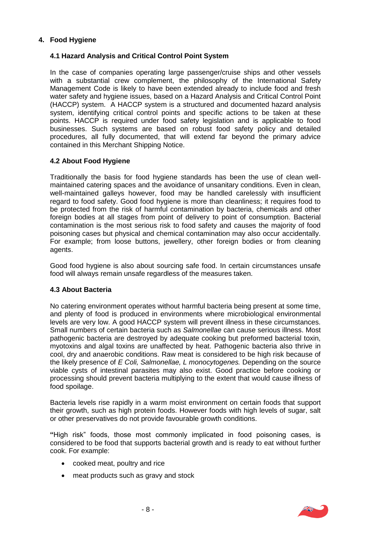# **4. Food Hygiene**

# **4.1 Hazard Analysis and Critical Control Point System**

In the case of companies operating large passenger/cruise ships and other vessels with a substantial crew complement, the philosophy of the International Safety Management Code is likely to have been extended already to include food and fresh water safety and hygiene issues, based on a Hazard Analysis and Critical Control Point (HACCP) system. A HACCP system is a structured and documented hazard analysis system, identifying critical control points and specific actions to be taken at these points. HACCP is required under food safety legislation and is applicable to food businesses. Such systems are based on robust food safety policy and detailed procedures, all fully documented, that will extend far beyond the primary advice contained in this Merchant Shipping Notice.

# **4.2 About Food Hygiene**

Traditionally the basis for food hygiene standards has been the use of clean wellmaintained catering spaces and the avoidance of unsanitary conditions. Even in clean, well-maintained galleys however, food may be handled carelessly with insufficient regard to food safety. Good food hygiene is more than cleanliness; it requires food to be protected from the risk of harmful contamination by bacteria, chemicals and other foreign bodies at all stages from point of delivery to point of consumption. Bacterial contamination is the most serious risk to food safety and causes the majority of food poisoning cases but physical and chemical contamination may also occur accidentally. For example; from loose buttons, jewellery, other foreign bodies or from cleaning agents.

Good food hygiene is also about sourcing safe food. In certain circumstances unsafe food will always remain unsafe regardless of the measures taken.

# **4.3 About Bacteria**

No catering environment operates without harmful bacteria being present at some time, and plenty of food is produced in environments where microbiological environmental levels are very low. A good HACCP system will prevent illness in these circumstances. Small numbers of certain bacteria such as *Salmonellae* can cause serious illness. Most pathogenic bacteria are destroyed by adequate cooking but preformed bacterial toxin, myotoxins and algal toxins are unaffected by heat. Pathogenic bacteria also thrive in cool, dry and anaerobic conditions. Raw meat is considered to be high risk because of the likely presence of *E Coli, Salmonellae, L monocytogenes.* Depending on the source viable cysts of intestinal parasites may also exist. Good practice before cooking or processing should prevent bacteria multiplying to the extent that would cause illness of food spoilage.

Bacteria levels rise rapidly in a warm moist environment on certain foods that support their growth, such as high protein foods. However foods with high levels of sugar, salt or other preservatives do not provide favourable growth conditions.

**"**High risk" foods, those most commonly implicated in food poisoning cases, is considered to be food that supports bacterial growth and is ready to eat without further cook. For example:

- cooked meat, poultry and rice
- meat products such as gravy and stock

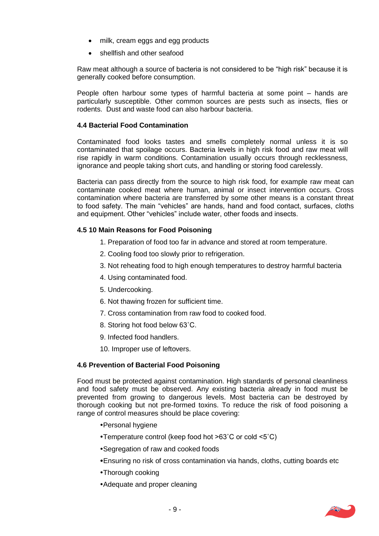- milk, cream eggs and egg products
- shellfish and other seafood

Raw meat although a source of bacteria is not considered to be "high risk" because it is generally cooked before consumption.

People often harbour some types of harmful bacteria at some point – hands are particularly susceptible. Other common sources are pests such as insects, flies or rodents. Dust and waste food can also harbour bacteria.

# **4.4 Bacterial Food Contamination**

Contaminated food looks tastes and smells completely normal unless it is so contaminated that spoilage occurs. Bacteria levels in high risk food and raw meat will rise rapidly in warm conditions. Contamination usually occurs through recklessness, ignorance and people taking short cuts, and handling or storing food carelessly.

Bacteria can pass directly from the source to high risk food, for example raw meat can contaminate cooked meat where human, animal or insect intervention occurs. Cross contamination where bacteria are transferred by some other means is a constant threat to food safety. The main "vehicles" are hands, hand and food contact, surfaces, cloths and equipment. Other "vehicles" include water, other foods and insects.

# **4.5 10 Main Reasons for Food Poisoning**

- 1. Preparation of food too far in advance and stored at room temperature.
- 2. Cooling food too slowly prior to refrigeration.
- 3. Not reheating food to high enough temperatures to destroy harmful bacteria
- 4. Using contaminated food.
- 5. Undercooking.
- 6. Not thawing frozen for sufficient time.
- 7. Cross contamination from raw food to cooked food.
- 8. Storing hot food below 63˚C.
- 9. Infected food handlers.
- 10. Improper use of leftovers.

# **4.6 Prevention of Bacterial Food Poisoning**

Food must be protected against contamination. High standards of personal cleanliness and food safety must be observed. Any existing bacteria already in food must be prevented from growing to dangerous levels. Most bacteria can be destroyed by thorough cooking but not pre-formed toxins. To reduce the risk of food poisoning a range of control measures should be place covering:

- Personal hygiene
- Temperature control (keep food hot >63˚C or cold <5˚C)
- Segregation of raw and cooked foods
- Ensuring no risk of cross contamination via hands, cloths, cutting boards etc
- Thorough cooking
- Adequate and proper cleaning

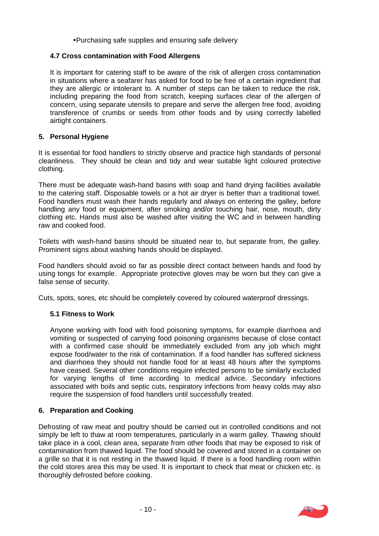Purchasing safe supplies and ensuring safe delivery

# **4.7 Cross contamination with Food Allergens**

It is important for catering staff to be aware of the risk of allergen cross contamination in situations where a seafarer has asked for food to be free of a certain ingredient that they are allergic or intolerant to. A number of steps can be taken to reduce the risk, including preparing the food from scratch, keeping surfaces clear of the allergen of concern, using separate utensils to prepare and serve the allergen free food, avoiding transference of crumbs or seeds from other foods and by using correctly labelled airtight containers.

# **5. Personal Hygiene**

It is essential for food handlers to strictly observe and practice high standards of personal cleanliness. They should be clean and tidy and wear suitable light coloured protective clothing.

There must be adequate wash-hand basins with soap and hand drying facilities available to the catering staff. Disposable towels or a hot air dryer is better than a traditional towel. Food handlers must wash their hands regularly and always on entering the galley, before handling any food or equipment, after smoking and/or touching hair, nose, mouth, dirty clothing etc. Hands must also be washed after visiting the WC and in between handling raw and cooked food.

Toilets with wash-hand basins should be situated near to, but separate from, the galley. Prominent signs about washing hands should be displayed.

Food handlers should avoid so far as possible direct contact between hands and food by using tongs for example. Appropriate protective gloves may be worn but they can give a false sense of security.

Cuts, spots, sores, etc should be completely covered by coloured waterproof dressings.

# **5.1 Fitness to Work**

Anyone working with food with food poisoning symptoms, for example diarrhoea and vomiting or suspected of carrying food poisoning organisms because of close contact with a confirmed case should be immediately excluded from any job which might expose food/water to the risk of contamination. If a food handler has suffered sickness and diarrhoea they should not handle food for at least 48 hours after the symptoms have ceased. Several other conditions require infected persons to be similarly excluded for varying lengths of time according to medical advice. Secondary infections associated with boils and septic cuts, respiratory infections from heavy colds may also require the suspension of food handlers until successfully treated.

# **6. Preparation and Cooking**

Defrosting of raw meat and poultry should be carried out in controlled conditions and not simply be left to thaw at room temperatures, particularly in a warm galley. Thawing should take place in a cool, clean area, separate from other foods that may be exposed to risk of contamination from thawed liquid. The food should be covered and stored in a container on a grille so that it is not resting in the thawed liquid. If there is a food handling room within the cold stores area this may be used. It is important to check that meat or chicken etc. is thoroughly defrosted before cooking.

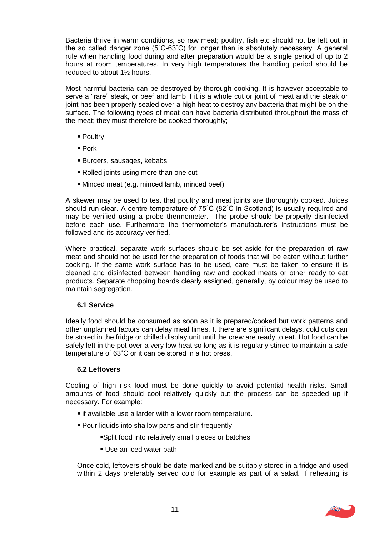Bacteria thrive in warm conditions, so raw meat; poultry, fish etc should not be left out in the so called danger zone (5˚C-63˚C) for longer than is absolutely necessary. A general rule when handling food during and after preparation would be a single period of up to 2 hours at room temperatures. In very high temperatures the handling period should be reduced to about 1½ hours.

Most harmful bacteria can be destroyed by thorough cooking. It is however acceptable to serve a "rare" steak, or beef and lamb if it is a whole cut or joint of meat and the steak or joint has been properly sealed over a high heat to destroy any bacteria that might be on the surface. The following types of meat can have bacteria distributed throughout the mass of the meat; they must therefore be cooked thoroughly;

- **Poultry**
- Pork
- Burgers, sausages, kebabs
- Rolled joints using more than one cut
- Minced meat (e.g. minced lamb, minced beef)

A skewer may be used to test that poultry and meat joints are thoroughly cooked. Juices should run clear. A centre temperature of 75˚C (82˚C in Scotland) is usually required and may be verified using a probe thermometer. The probe should be properly disinfected before each use. Furthermore the thermometer's manufacturer's instructions must be followed and its accuracy verified.

Where practical, separate work surfaces should be set aside for the preparation of raw meat and should not be used for the preparation of foods that will be eaten without further cooking. If the same work surface has to be used, care must be taken to ensure it is cleaned and disinfected between handling raw and cooked meats or other ready to eat products. Separate chopping boards clearly assigned, generally, by colour may be used to maintain segregation.

# **6.1 Service**

Ideally food should be consumed as soon as it is prepared/cooked but work patterns and other unplanned factors can delay meal times. It there are significant delays, cold cuts can be stored in the fridge or chilled display unit until the crew are ready to eat. Hot food can be safely left in the pot over a very low heat so long as it is regularly stirred to maintain a safe temperature of 63˚C or it can be stored in a hot press.

# **6.2 Leftovers**

Cooling of high risk food must be done quickly to avoid potential health risks. Small amounts of food should cool relatively quickly but the process can be speeded up if necessary. For example:

- if available use a larder with a lower room temperature.
- Pour liquids into shallow pans and stir frequently.
	- Split food into relatively small pieces or batches.
	- Use an iced water bath

Once cold, leftovers should be date marked and be suitably stored in a fridge and used within 2 days preferably served cold for example as part of a salad. If reheating is

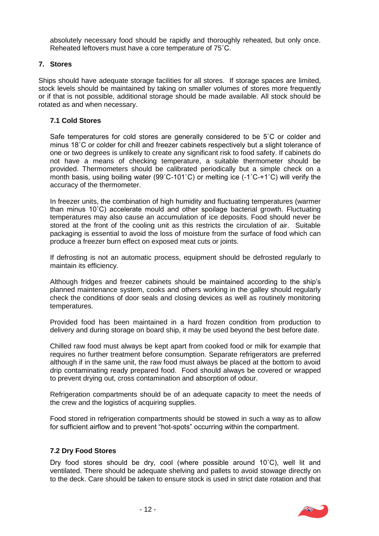absolutely necessary food should be rapidly and thoroughly reheated, but only once. Reheated leftovers must have a core temperature of 75˚C.

# **7. Stores**

Ships should have adequate storage facilities for all stores. If storage spaces are limited, stock levels should be maintained by taking on smaller volumes of stores more frequently or if that is not possible, additional storage should be made available. All stock should be rotated as and when necessary.

# **7.1 Cold Stores**

Safe temperatures for cold stores are generally considered to be 5˚C or colder and minus 18˚C or colder for chill and freezer cabinets respectively but a slight tolerance of one or two degrees is unlikely to create any significant risk to food safety. If cabinets do not have a means of checking temperature, a suitable thermometer should be provided. Thermometers should be calibrated periodically but a simple check on a month basis, using boiling water (99˚C-101˚C) or melting ice (-1˚C-+1˚C) will verify the accuracy of the thermometer.

In freezer units, the combination of high humidity and fluctuating temperatures (warmer than minus 10˚C) accelerate mould and other spoilage bacterial growth. Fluctuating temperatures may also cause an accumulation of ice deposits. Food should never be stored at the front of the cooling unit as this restricts the circulation of air. Suitable packaging is essential to avoid the loss of moisture from the surface of food which can produce a freezer burn effect on exposed meat cuts or joints.

If defrosting is not an automatic process, equipment should be defrosted regularly to maintain its efficiency.

Although fridges and freezer cabinets should be maintained according to the ship's planned maintenance system, cooks and others working in the galley should regularly check the conditions of door seals and closing devices as well as routinely monitoring temperatures.

Provided food has been maintained in a hard frozen condition from production to delivery and during storage on board ship, it may be used beyond the best before date.

Chilled raw food must always be kept apart from cooked food or milk for example that requires no further treatment before consumption. Separate refrigerators are preferred although if in the same unit, the raw food must always be placed at the bottom to avoid drip contaminating ready prepared food. Food should always be covered or wrapped to prevent drying out, cross contamination and absorption of odour.

Refrigeration compartments should be of an adequate capacity to meet the needs of the crew and the logistics of acquiring supplies.

Food stored in refrigeration compartments should be stowed in such a way as to allow for sufficient airflow and to prevent "hot-spots" occurring within the compartment.

# **7.2 Dry Food Stores**

Dry food stores should be dry, cool (where possible around 10˚C), well lit and ventilated. There should be adequate shelving and pallets to avoid stowage directly on to the deck. Care should be taken to ensure stock is used in strict date rotation and that

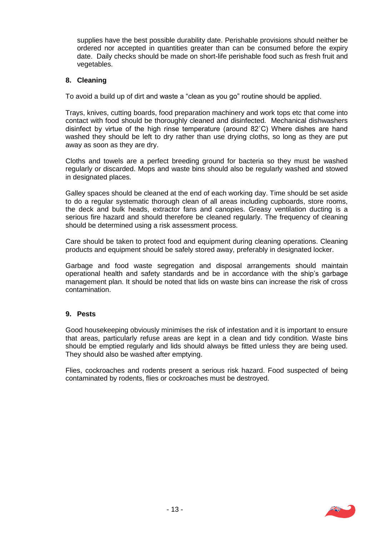supplies have the best possible durability date. Perishable provisions should neither be ordered nor accepted in quantities greater than can be consumed before the expiry date. Daily checks should be made on short-life perishable food such as fresh fruit and vegetables.

# **8. Cleaning**

To avoid a build up of dirt and waste a "clean as you go" routine should be applied.

Trays, knives, cutting boards, food preparation machinery and work tops etc that come into contact with food should be thoroughly cleaned and disinfected. Mechanical dishwashers disinfect by virtue of the high rinse temperature (around 82˚C) Where dishes are hand washed they should be left to dry rather than use drying cloths, so long as they are put away as soon as they are dry.

Cloths and towels are a perfect breeding ground for bacteria so they must be washed regularly or discarded. Mops and waste bins should also be regularly washed and stowed in designated places.

Galley spaces should be cleaned at the end of each working day. Time should be set aside to do a regular systematic thorough clean of all areas including cupboards, store rooms, the deck and bulk heads, extractor fans and canopies. Greasy ventilation ducting is a serious fire hazard and should therefore be cleaned regularly. The frequency of cleaning should be determined using a risk assessment process.

Care should be taken to protect food and equipment during cleaning operations. Cleaning products and equipment should be safely stored away, preferably in designated locker.

Garbage and food waste segregation and disposal arrangements should maintain operational health and safety standards and be in accordance with the ship's garbage management plan. It should be noted that lids on waste bins can increase the risk of cross contamination.

# **9. Pests**

Good housekeeping obviously minimises the risk of infestation and it is important to ensure that areas, particularly refuse areas are kept in a clean and tidy condition. Waste bins should be emptied regularly and lids should always be fitted unless they are being used. They should also be washed after emptying.

Flies, cockroaches and rodents present a serious risk hazard. Food suspected of being contaminated by rodents, flies or cockroaches must be destroyed.

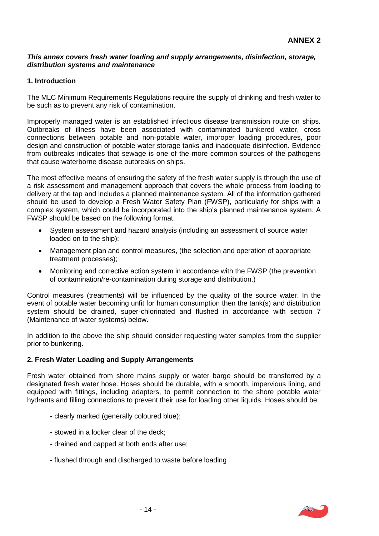#### *This annex covers fresh water loading and supply arrangements, disinfection, storage, distribution systems and maintenance*

# **1. Introduction**

The MLC Minimum Requirements Regulations require the supply of drinking and fresh water to be such as to prevent any risk of contamination.

Improperly managed water is an established infectious disease transmission route on ships. Outbreaks of illness have been associated with contaminated bunkered water, cross connections between potable and non-potable water, improper loading procedures, poor design and construction of potable water storage tanks and inadequate disinfection. Evidence from outbreaks indicates that sewage is one of the more common sources of the pathogens that cause waterborne disease outbreaks on ships.

The most effective means of ensuring the safety of the fresh water supply is through the use of a risk assessment and management approach that covers the whole process from loading to delivery at the tap and includes a planned maintenance system. All of the information gathered should be used to develop a Fresh Water Safety Plan (FWSP), particularly for ships with a complex system, which could be incorporated into the ship's planned maintenance system. A FWSP should be based on the following format.

- System assessment and hazard analysis (including an assessment of source water loaded on to the ship);
- Management plan and control measures, (the selection and operation of appropriate treatment processes);
- Monitoring and corrective action system in accordance with the FWSP (the prevention of contamination/re-contamination during storage and distribution.)

Control measures (treatments) will be influenced by the quality of the source water. In the event of potable water becoming unfit for human consumption then the tank(s) and distribution system should be drained, super-chlorinated and flushed in accordance with section 7 (Maintenance of water systems) below.

In addition to the above the ship should consider requesting water samples from the supplier prior to bunkering.

# **2. Fresh Water Loading and Supply Arrangements**

Fresh water obtained from shore mains supply or water barge should be transferred by a designated fresh water hose. Hoses should be durable, with a smooth, impervious lining, and equipped with fittings, including adapters, to permit connection to the shore potable water hydrants and filling connections to prevent their use for loading other liquids. Hoses should be:

- clearly marked (generally coloured blue);
- stowed in a locker clear of the deck;
- drained and capped at both ends after use;
- flushed through and discharged to waste before loading

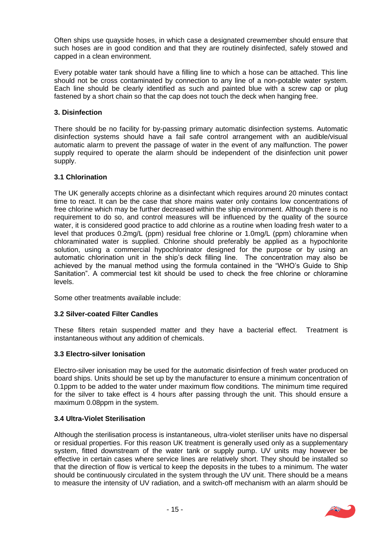Often ships use quayside hoses, in which case a designated crewmember should ensure that such hoses are in good condition and that they are routinely disinfected, safely stowed and capped in a clean environment.

Every potable water tank should have a filling line to which a hose can be attached. This line should not be cross contaminated by connection to any line of a non-potable water system. Each line should be clearly identified as such and painted blue with a screw cap or plug fastened by a short chain so that the cap does not touch the deck when hanging free.

# **3. Disinfection**

There should be no facility for by-passing primary automatic disinfection systems. Automatic disinfection systems should have a fail safe control arrangement with an audible/visual automatic alarm to prevent the passage of water in the event of any malfunction. The power supply required to operate the alarm should be independent of the disinfection unit power supply.

# **3.1 Chlorination**

The UK generally accepts chlorine as a disinfectant which requires around 20 minutes contact time to react. It can be the case that shore mains water only contains low concentrations of free chlorine which may be further decreased within the ship environment. Although there is no requirement to do so, and control measures will be influenced by the quality of the source water, it is considered good practice to add chlorine as a routine when loading fresh water to a level that produces 0.2mg/L (ppm) residual free chlorine or 1.0mg/L (ppm) chloramine when chloraminated water is supplied. Chlorine should preferably be applied as a hypochlorite solution, using a commercial hypochlorinator designed for the purpose or by using an automatic chlorination unit in the ship's deck filling line. The concentration may also be achieved by the manual method using the formula contained in the "WHO's Guide to Ship Sanitation". A commercial test kit should be used to check the free chlorine or chloramine levels.

Some other treatments available include:

# **3.2 Silver-coated Filter Candles**

These filters retain suspended matter and they have a bacterial effect. Treatment is instantaneous without any addition of chemicals.

# **3.3 Electro-silver Ionisation**

Electro-silver ionisation may be used for the automatic disinfection of fresh water produced on board ships. Units should be set up by the manufacturer to ensure a minimum concentration of 0.1ppm to be added to the water under maximum flow conditions. The minimum time required for the silver to take effect is 4 hours after passing through the unit. This should ensure a maximum 0.08ppm in the system.

# **3.4 Ultra-Violet Sterilisation**

Although the sterilisation process is instantaneous, ultra-violet steriliser units have no dispersal or residual properties. For this reason UK treatment is generally used only as a supplementary system, fitted downstream of the water tank or supply pump. UV units may however be effective in certain cases where service lines are relatively short. They should be installed so that the direction of flow is vertical to keep the deposits in the tubes to a minimum. The water should be continuously circulated in the system through the UV unit. There should be a means to measure the intensity of UV radiation, and a switch-off mechanism with an alarm should be

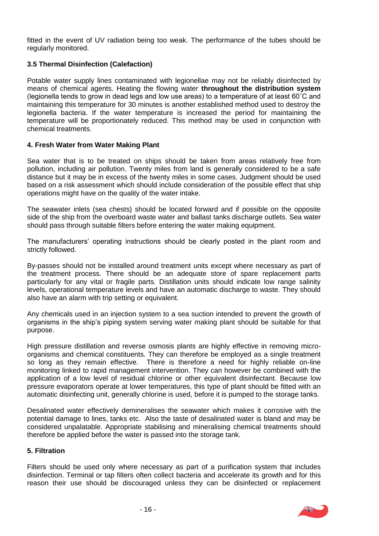fitted in the event of UV radiation being too weak. The performance of the tubes should be regularly monitored.

# **3.5 Thermal Disinfection (Calefaction)**

Potable water supply lines contaminated with legionellae may not be reliably disinfected by means of chemical agents. Heating the flowing water **throughout the distribution system** (legionella tends to grow in dead legs and low use areas) to a temperature of at least 60˚C and maintaining this temperature for 30 minutes is another established method used to destroy the legionella bacteria. If the water temperature is increased the period for maintaining the temperature will be proportionately reduced. This method may be used in conjunction with chemical treatments.

# **4. Fresh Water from Water Making Plant**

Sea water that is to be treated on ships should be taken from areas relatively free from pollution, including air pollution. Twenty miles from land is generally considered to be a safe distance but it may be in excess of the twenty miles in some cases. Judgment should be used based on a risk assessment which should include consideration of the possible effect that ship operations might have on the quality of the water intake.

The seawater inlets (sea chests) should be located forward and if possible on the opposite side of the ship from the overboard waste water and ballast tanks discharge outlets. Sea water should pass through suitable filters before entering the water making equipment.

The manufacturers' operating instructions should be clearly posted in the plant room and strictly followed.

By-passes should not be installed around treatment units except where necessary as part of the treatment process. There should be an adequate store of spare replacement parts particularly for any vital or fragile parts. Distillation units should indicate low range salinity levels, operational temperature levels and have an automatic discharge to waste. They should also have an alarm with trip setting or equivalent.

Any chemicals used in an injection system to a sea suction intended to prevent the growth of organisms in the ship's piping system serving water making plant should be suitable for that purpose.

High pressure distillation and reverse osmosis plants are highly effective in removing microorganisms and chemical constituents. They can therefore be employed as a single treatment so long as they remain effective. There is therefore a need for highly reliable on-line monitoring linked to rapid management intervention. They can however be combined with the application of a low level of residual chlorine or other equivalent disinfectant. Because low pressure evaporators operate at lower temperatures, this type of plant should be fitted with an automatic disinfecting unit, generally chlorine is used, before it is pumped to the storage tanks.

Desalinated water effectively demineralises the seawater which makes it corrosive with the potential damage to lines, tanks etc. Also the taste of desalinated water is bland and may be considered unpalatable. Appropriate stabilising and mineralising chemical treatments should therefore be applied before the water is passed into the storage tank.

#### **5. Filtration**

Filters should be used only where necessary as part of a purification system that includes disinfection. Terminal or tap filters often collect bacteria and accelerate its growth and for this reason their use should be discouraged unless they can be disinfected or replacement

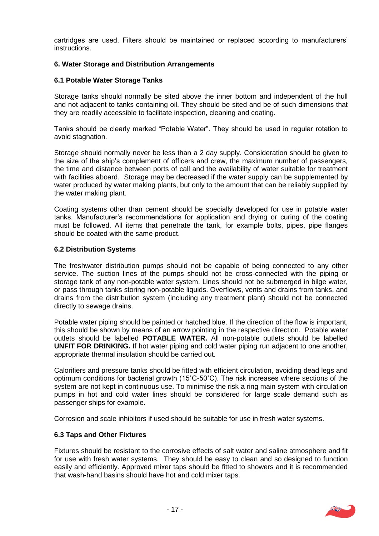cartridges are used. Filters should be maintained or replaced according to manufacturers' instructions.

# **6. Water Storage and Distribution Arrangements**

# **6.1 Potable Water Storage Tanks**

Storage tanks should normally be sited above the inner bottom and independent of the hull and not adjacent to tanks containing oil. They should be sited and be of such dimensions that they are readily accessible to facilitate inspection, cleaning and coating.

Tanks should be clearly marked "Potable Water". They should be used in regular rotation to avoid stagnation.

Storage should normally never be less than a 2 day supply. Consideration should be given to the size of the ship's complement of officers and crew, the maximum number of passengers, the time and distance between ports of call and the availability of water suitable for treatment with facilities aboard. Storage may be decreased if the water supply can be supplemented by water produced by water making plants, but only to the amount that can be reliably supplied by the water making plant.

Coating systems other than cement should be specially developed for use in potable water tanks. Manufacturer's recommendations for application and drying or curing of the coating must be followed. All items that penetrate the tank, for example bolts, pipes, pipe flanges should be coated with the same product.

# **6.2 Distribution Systems**

The freshwater distribution pumps should not be capable of being connected to any other service. The suction lines of the pumps should not be cross-connected with the piping or storage tank of any non-potable water system. Lines should not be submerged in bilge water, or pass through tanks storing non-potable liquids. Overflows, vents and drains from tanks, and drains from the distribution system (including any treatment plant) should not be connected directly to sewage drains.

Potable water piping should be painted or hatched blue. If the direction of the flow is important, this should be shown by means of an arrow pointing in the respective direction. Potable water outlets should be labelled **POTABLE WATER.** All non-potable outlets should be labelled **UNFIT FOR DRINKING.** If hot water piping and cold water piping run adjacent to one another, appropriate thermal insulation should be carried out.

Calorifiers and pressure tanks should be fitted with efficient circulation, avoiding dead legs and optimum conditions for bacterial growth (15˚C-50˚C). The risk increases where sections of the system are not kept in continuous use. To minimise the risk a ring main system with circulation pumps in hot and cold water lines should be considered for large scale demand such as passenger ships for example.

Corrosion and scale inhibitors if used should be suitable for use in fresh water systems.

# **6.3 Taps and Other Fixtures**

Fixtures should be resistant to the corrosive effects of salt water and saline atmosphere and fit for use with fresh water systems. They should be easy to clean and so designed to function easily and efficiently. Approved mixer taps should be fitted to showers and it is recommended that wash-hand basins should have hot and cold mixer taps.

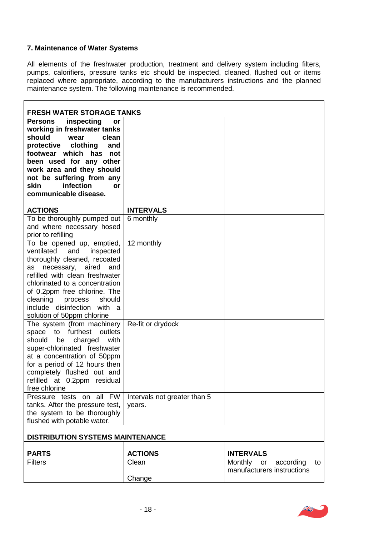# **7. Maintenance of Water Systems**

All elements of the freshwater production, treatment and delivery system including filters, pumps, calorifiers, pressure tanks etc should be inspected, cleaned, flushed out or items replaced where appropriate, according to the manufacturers instructions and the planned maintenance system. The following maintenance is recommended.

| <b>FRESH WATER STORAGE TANKS</b>                                                                                                                                                                                                                                                                                   |                                        |                                                                       |  |  |
|--------------------------------------------------------------------------------------------------------------------------------------------------------------------------------------------------------------------------------------------------------------------------------------------------------------------|----------------------------------------|-----------------------------------------------------------------------|--|--|
| Persons inspecting<br>or<br>working in freshwater tanks<br>should<br>wear<br>clean<br>protective clothing<br>and<br>footwear which has not<br>been used for any other<br>work area and they should<br>not be suffering from any<br>infection<br><b>skin</b><br><b>or</b><br>communicable disease.                  |                                        |                                                                       |  |  |
| <b>ACTIONS</b>                                                                                                                                                                                                                                                                                                     | <b>INTERVALS</b>                       |                                                                       |  |  |
| To be thoroughly pumped out<br>and where necessary hosed<br>prior to refilling                                                                                                                                                                                                                                     | 6 monthly                              |                                                                       |  |  |
| To be opened up, emptied,<br>ventilated and inspected<br>thoroughly cleaned, recoated<br>as necessary, aired<br>and<br>refilled with clean freshwater<br>chlorinated to a concentration<br>of 0.2ppm free chlorine. The<br>cleaning process<br>should<br>include disinfection with a<br>solution of 50ppm chlorine | 12 monthly                             |                                                                       |  |  |
| The system (from machinery<br>furthest<br>outlets<br>space to<br>with<br>should<br>charged<br>be<br>super-chlorinated freshwater<br>at a concentration of 50ppm<br>for a period of 12 hours then<br>completely flushed out and<br>refilled at 0.2ppm residual<br>free chlorine                                     | Re-fit or drydock                      |                                                                       |  |  |
| Pressure tests on all FW<br>tanks. After the pressure test,<br>the system to be thoroughly<br>flushed with potable water.                                                                                                                                                                                          | Intervals not greater than 5<br>years. |                                                                       |  |  |
| <b>DISTRIBUTION SYSTEMS MAINTENANCE</b>                                                                                                                                                                                                                                                                            |                                        |                                                                       |  |  |
| <b>PARTS</b>                                                                                                                                                                                                                                                                                                       | <b>ACTIONS</b>                         | <b>INTERVALS</b>                                                      |  |  |
| <b>Filters</b>                                                                                                                                                                                                                                                                                                     | Clean<br>Change                        | <b>Monthly</b><br>according<br>to<br>or<br>manufacturers instructions |  |  |